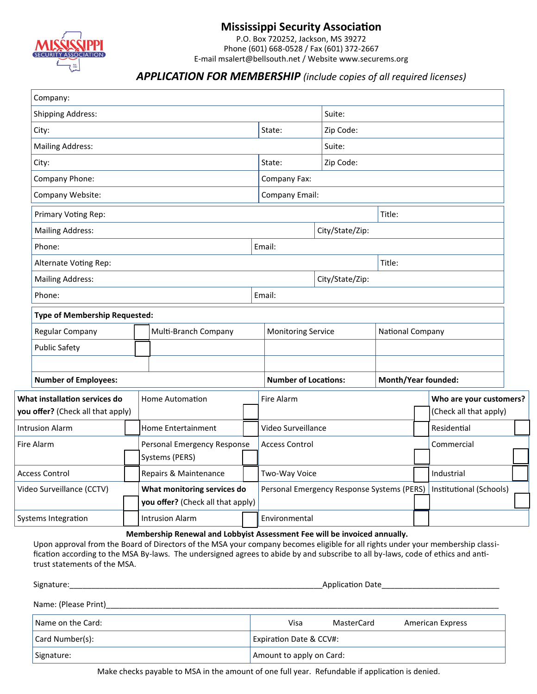

# **Mississippi Security Association**

P.O. Box 720252, Jackson, MS 39272 Phone (601) 668-0528 / Fax (601) 372-2667 E-mail msalert@bellsouth.net / Website www.securems.org

# *APPLICATION FOR MEMBERSHIP (include copies of all required licenses)*

| Company:                                                                                                                                                                                                                                                                                            |                                      |                                                                           |        |                                                                      |                             |                 |                            |  |                         |  |  |
|-----------------------------------------------------------------------------------------------------------------------------------------------------------------------------------------------------------------------------------------------------------------------------------------------------|--------------------------------------|---------------------------------------------------------------------------|--------|----------------------------------------------------------------------|-----------------------------|-----------------|----------------------------|--|-------------------------|--|--|
| <b>Shipping Address:</b>                                                                                                                                                                                                                                                                            |                                      |                                                                           | Suite: |                                                                      |                             |                 |                            |  |                         |  |  |
| City:                                                                                                                                                                                                                                                                                               |                                      |                                                                           |        |                                                                      | State:                      | Zip Code:       |                            |  |                         |  |  |
| <b>Mailing Address:</b>                                                                                                                                                                                                                                                                             |                                      |                                                                           |        |                                                                      |                             | Suite:          |                            |  |                         |  |  |
| City:                                                                                                                                                                                                                                                                                               |                                      |                                                                           |        |                                                                      | State:                      | Zip Code:       |                            |  |                         |  |  |
| Company Phone:                                                                                                                                                                                                                                                                                      |                                      |                                                                           |        |                                                                      | Company Fax:                |                 |                            |  |                         |  |  |
| Company Website:                                                                                                                                                                                                                                                                                    |                                      |                                                                           |        |                                                                      | <b>Company Email:</b>       |                 |                            |  |                         |  |  |
| Primary Voting Rep:                                                                                                                                                                                                                                                                                 |                                      |                                                                           |        |                                                                      |                             | Title:          |                            |  |                         |  |  |
| <b>Mailing Address:</b>                                                                                                                                                                                                                                                                             |                                      |                                                                           |        |                                                                      |                             | City/State/Zip: |                            |  |                         |  |  |
| Phone:                                                                                                                                                                                                                                                                                              |                                      |                                                                           |        |                                                                      | Email:                      |                 |                            |  |                         |  |  |
| Alternate Voting Rep:                                                                                                                                                                                                                                                                               |                                      |                                                                           |        |                                                                      | Title:<br>City/State/Zip:   |                 |                            |  |                         |  |  |
| <b>Mailing Address:</b>                                                                                                                                                                                                                                                                             |                                      |                                                                           |        |                                                                      |                             |                 |                            |  |                         |  |  |
| Phone:                                                                                                                                                                                                                                                                                              |                                      |                                                                           |        |                                                                      | Email:                      |                 |                            |  |                         |  |  |
|                                                                                                                                                                                                                                                                                                     | <b>Type of Membership Requested:</b> |                                                                           |        |                                                                      |                             |                 |                            |  |                         |  |  |
| Regular Company                                                                                                                                                                                                                                                                                     | Multi-Branch Company                 |                                                                           |        |                                                                      | <b>Monitoring Service</b>   |                 | National Company           |  |                         |  |  |
| <b>Public Safety</b>                                                                                                                                                                                                                                                                                |                                      |                                                                           |        |                                                                      |                             |                 |                            |  |                         |  |  |
|                                                                                                                                                                                                                                                                                                     |                                      |                                                                           |        |                                                                      |                             |                 |                            |  |                         |  |  |
| <b>Number of Employees:</b>                                                                                                                                                                                                                                                                         |                                      |                                                                           |        |                                                                      | <b>Number of Locations:</b> |                 | <b>Month/Year founded:</b> |  |                         |  |  |
| What installation services do<br><b>Home Automation</b>                                                                                                                                                                                                                                             |                                      |                                                                           |        |                                                                      | Fire Alarm                  |                 |                            |  | Who are your customers? |  |  |
| you offer? (Check all that apply)                                                                                                                                                                                                                                                                   |                                      |                                                                           |        |                                                                      |                             |                 |                            |  | (Check all that apply)  |  |  |
| <b>Intrusion Alarm</b>                                                                                                                                                                                                                                                                              |                                      | <b>Home Entertainment</b>                                                 |        |                                                                      | Video Surveillance          |                 |                            |  | Residential             |  |  |
| Fire Alarm                                                                                                                                                                                                                                                                                          |                                      | Personal Emergency Response<br>Systems (PERS)                             |        |                                                                      | <b>Access Control</b>       |                 |                            |  | Commercial              |  |  |
| Access Control                                                                                                                                                                                                                                                                                      |                                      | Repairs & Maintenance                                                     |        |                                                                      | Two-Way Voice               |                 |                            |  | Industrial              |  |  |
| Video Surveillance (CCTV)                                                                                                                                                                                                                                                                           | What monitoring services do          |                                                                           |        | Personal Emergency Response Systems (PERS)   Institutional (Schools) |                             |                 |                            |  |                         |  |  |
|                                                                                                                                                                                                                                                                                                     |                                      | you offer? (Check all that apply)                                         |        |                                                                      |                             |                 |                            |  |                         |  |  |
| Systems Integration                                                                                                                                                                                                                                                                                 |                                      | <b>Intrusion Alarm</b>                                                    |        |                                                                      | Environmental               |                 |                            |  |                         |  |  |
| Upon approval from the Board of Directors of the MSA your company becomes eligible for all rights under your membership classi-<br>fication according to the MSA By-laws. The undersigned agrees to abide by and subscribe to all by-laws, code of ethics and anti-<br>trust statements of the MSA. |                                      | Membership Renewal and Lobbyist Assessment Fee will be invoiced annually. |        |                                                                      |                             |                 |                            |  |                         |  |  |
| Signature:                                                                                                                                                                                                                                                                                          |                                      |                                                                           |        |                                                                      | Application Date            |                 |                            |  |                         |  |  |

Name: (Please Print)\_

| Name on the Card: | Visa                               | MasterCard | <b>American Express</b> |  |  |
|-------------------|------------------------------------|------------|-------------------------|--|--|
| Card Number(s):   | <b>Expiration Date &amp; CCV#:</b> |            |                         |  |  |
| Signature:        | Amount to apply on Card:           |            |                         |  |  |

Make checks payable to MSA in the amount of one full year. Refundable if application is denied.